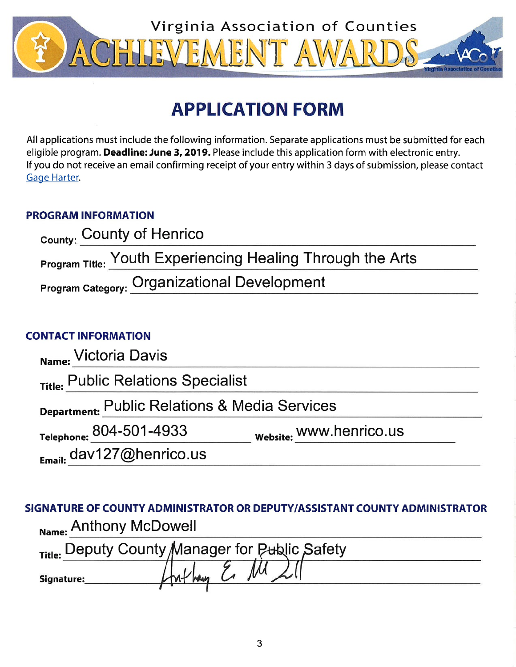

# **APPLICATION FORM**

All applications must include the following information. Separate applications must be submitted for each eligible program. Deadline: June 3, 2019. Please include this application form with electronic entry. If you do not receive an email confirming receipt of your entry within 3 days of submission, please contact Gage Harter.

## **PROGRAM INFORMATION**

| <sub>County:</sub> County of Henrico                              |  |
|-------------------------------------------------------------------|--|
| <b>Program Title: Youth Experiencing Healing Through the Arts</b> |  |
| <b>Program Category: Organizational Development</b>               |  |

## **CONTACT INFORMATION**

| Name: Victoria Davis                          |                         |  |
|-----------------------------------------------|-------------------------|--|
| Title: Public Relations Specialist            |                         |  |
| Department: Public Relations & Media Services |                         |  |
| Telephone: 804-501-4933                       | website: WWW.henrico.us |  |
| $_{Email:}$ dav127@henrico.us                 |                         |  |

SIGNATURE OF COUNTY ADMINISTRATOR OR DEPUTY/ASSISTANT COUNTY ADMINISTRATOR Name: Anthony McDowell

|            | Title: Deputy County Manager for Public Safety |
|------------|------------------------------------------------|
| Signature: |                                                |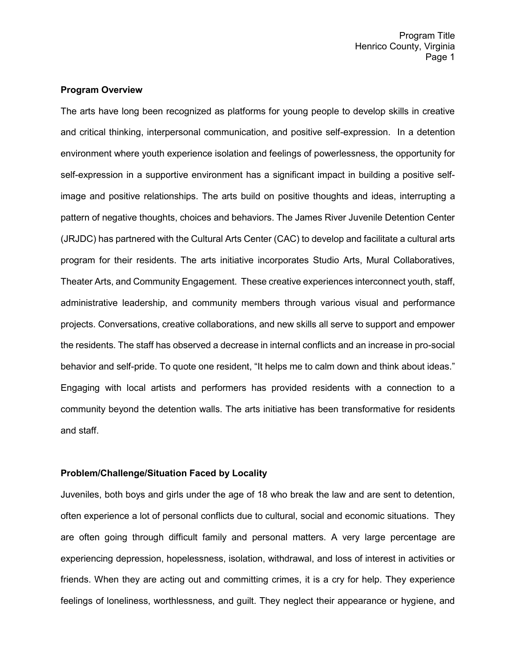#### **Program Overview**

The arts have long been recognized as platforms for young people to develop skills in creative and critical thinking, interpersonal communication, and positive self-expression. In a detention environment where youth experience isolation and feelings of powerlessness, the opportunity for self-expression in a supportive environment has a significant impact in building a positive selfimage and positive relationships. The arts build on positive thoughts and ideas, interrupting a pattern of negative thoughts, choices and behaviors. The James River Juvenile Detention Center (JRJDC) has partnered with the Cultural Arts Center (CAC) to develop and facilitate a cultural arts program for their residents. The arts initiative incorporates Studio Arts, Mural Collaboratives, Theater Arts, and Community Engagement. These creative experiences interconnect youth, staff, administrative leadership, and community members through various visual and performance projects. Conversations, creative collaborations, and new skills all serve to support and empower the residents. The staff has observed a decrease in internal conflicts and an increase in pro-social behavior and self-pride. To quote one resident, "It helps me to calm down and think about ideas." Engaging with local artists and performers has provided residents with a connection to a community beyond the detention walls. The arts initiative has been transformative for residents and staff.

#### **Problem/Challenge/Situation Faced by Locality**

Juveniles, both boys and girls under the age of 18 who break the law and are sent to detention, often experience a lot of personal conflicts due to cultural, social and economic situations. They are often going through difficult family and personal matters. A very large percentage are experiencing depression, hopelessness, isolation, withdrawal, and loss of interest in activities or friends. When they are acting out and committing crimes, it is a cry for help. They experience feelings of loneliness, worthlessness, and guilt. They neglect their appearance or hygiene, and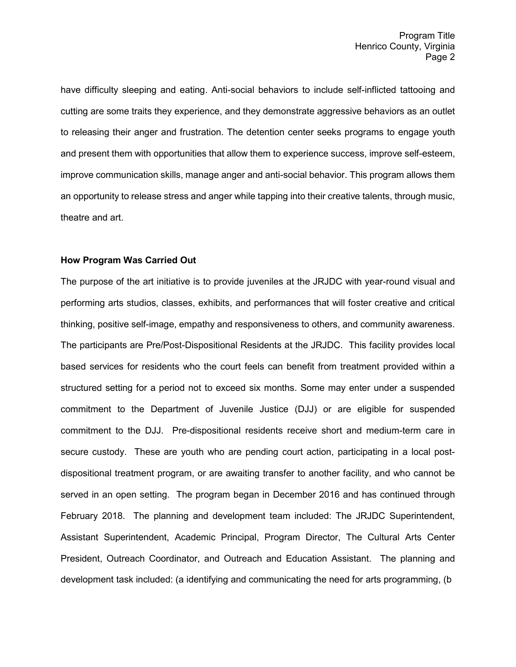have difficulty sleeping and eating. Anti-social behaviors to include self-inflicted tattooing and cutting are some traits they experience, and they demonstrate aggressive behaviors as an outlet to releasing their anger and frustration. The detention center seeks programs to engage youth and present them with opportunities that allow them to experience success, improve self-esteem, improve communication skills, manage anger and anti-social behavior. This program allows them an opportunity to release stress and anger while tapping into their creative talents, through music, theatre and art.

#### **How Program Was Carried Out**

The purpose of the art initiative is to provide juveniles at the JRJDC with year-round visual and performing arts studios, classes, exhibits, and performances that will foster creative and critical thinking, positive self-image, empathy and responsiveness to others, and community awareness. The participants are Pre/Post-Dispositional Residents at the JRJDC. This facility provides local based services for residents who the court feels can benefit from treatment provided within a structured setting for a period not to exceed six months. Some may enter under a suspended commitment to the Department of Juvenile Justice (DJJ) or are eligible for suspended commitment to the DJJ. Pre-dispositional residents receive short and medium-term care in secure custody. These are youth who are pending court action, participating in a local postdispositional treatment program, or are awaiting transfer to another facility, and who cannot be served in an open setting. The program began in December 2016 and has continued through February 2018. The planning and development team included: The JRJDC Superintendent, Assistant Superintendent, Academic Principal, Program Director, The Cultural Arts Center President, Outreach Coordinator, and Outreach and Education Assistant. The planning and development task included: (a identifying and communicating the need for arts programming, (b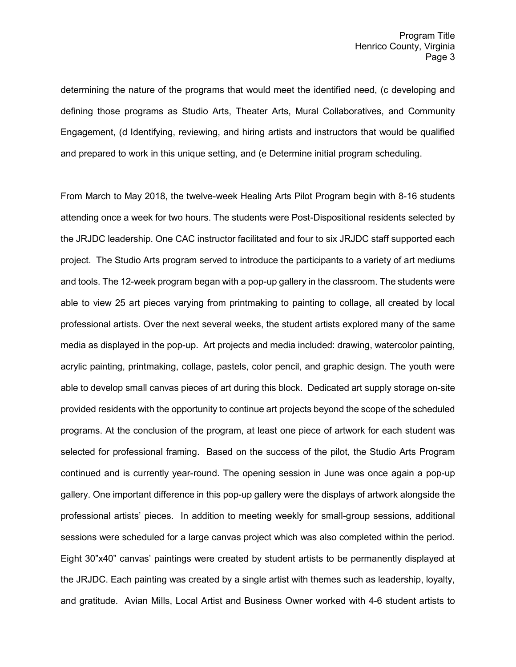determining the nature of the programs that would meet the identified need, (c developing and defining those programs as Studio Arts, Theater Arts, Mural Collaboratives, and Community Engagement, (d Identifying, reviewing, and hiring artists and instructors that would be qualified and prepared to work in this unique setting, and (e Determine initial program scheduling.

From March to May 2018, the twelve-week Healing Arts Pilot Program begin with 8-16 students attending once a week for two hours. The students were Post-Dispositional residents selected by the JRJDC leadership. One CAC instructor facilitated and four to six JRJDC staff supported each project. The Studio Arts program served to introduce the participants to a variety of art mediums and tools. The 12-week program began with a pop-up gallery in the classroom. The students were able to view 25 art pieces varying from printmaking to painting to collage, all created by local professional artists. Over the next several weeks, the student artists explored many of the same media as displayed in the pop-up. Art projects and media included: drawing, watercolor painting, acrylic painting, printmaking, collage, pastels, color pencil, and graphic design. The youth were able to develop small canvas pieces of art during this block. Dedicated art supply storage on-site provided residents with the opportunity to continue art projects beyond the scope of the scheduled programs. At the conclusion of the program, at least one piece of artwork for each student was selected for professional framing. Based on the success of the pilot, the Studio Arts Program continued and is currently year-round. The opening session in June was once again a pop-up gallery. One important difference in this pop-up gallery were the displays of artwork alongside the professional artists' pieces. In addition to meeting weekly for small-group sessions, additional sessions were scheduled for a large canvas project which was also completed within the period. Eight 30"x40" canvas' paintings were created by student artists to be permanently displayed at the JRJDC. Each painting was created by a single artist with themes such as leadership, loyalty, and gratitude. Avian Mills, Local Artist and Business Owner worked with 4-6 student artists to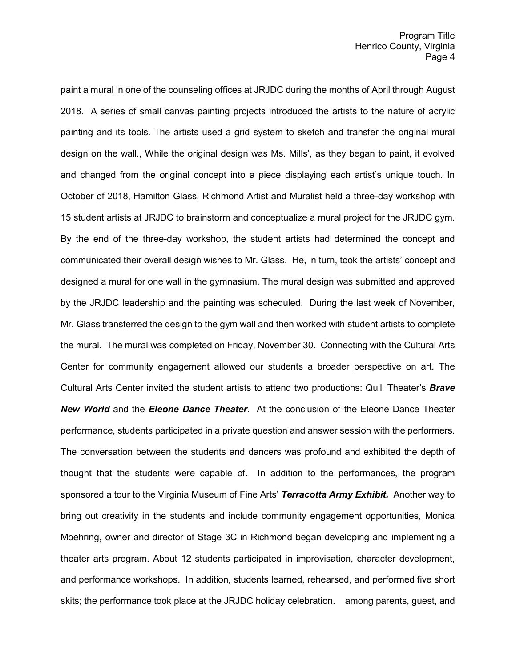paint a mural in one of the counseling offices at JRJDC during the months of April through August 2018. A series of small canvas painting projects introduced the artists to the nature of acrylic painting and its tools. The artists used a grid system to sketch and transfer the original mural design on the wall., While the original design was Ms. Mills', as they began to paint, it evolved and changed from the original concept into a piece displaying each artist's unique touch. In October of 2018, Hamilton Glass, Richmond Artist and Muralist held a three-day workshop with 15 student artists at JRJDC to brainstorm and conceptualize a mural project for the JRJDC gym. By the end of the three-day workshop, the student artists had determined the concept and communicated their overall design wishes to Mr. Glass. He, in turn, took the artists' concept and designed a mural for one wall in the gymnasium. The mural design was submitted and approved by the JRJDC leadership and the painting was scheduled. During the last week of November, Mr. Glass transferred the design to the gym wall and then worked with student artists to complete the mural. The mural was completed on Friday, November 30. Connecting with the Cultural Arts Center for community engagement allowed our students a broader perspective on art. The Cultural Arts Center invited the student artists to attend two productions: Quill Theater's *Brave New World* and the *Eleone Dance Theater*. At the conclusion of the Eleone Dance Theater performance, students participated in a private question and answer session with the performers. The conversation between the students and dancers was profound and exhibited the depth of thought that the students were capable of. In addition to the performances, the program sponsored a tour to the Virginia Museum of Fine Arts' *Terracotta Army Exhibit.* Another way to bring out creativity in the students and include community engagement opportunities, Monica Moehring, owner and director of Stage 3C in Richmond began developing and implementing a theater arts program. About 12 students participated in improvisation, character development, and performance workshops. In addition, students learned, rehearsed, and performed five short skits; the performance took place at the JRJDC holiday celebration. among parents, guest, and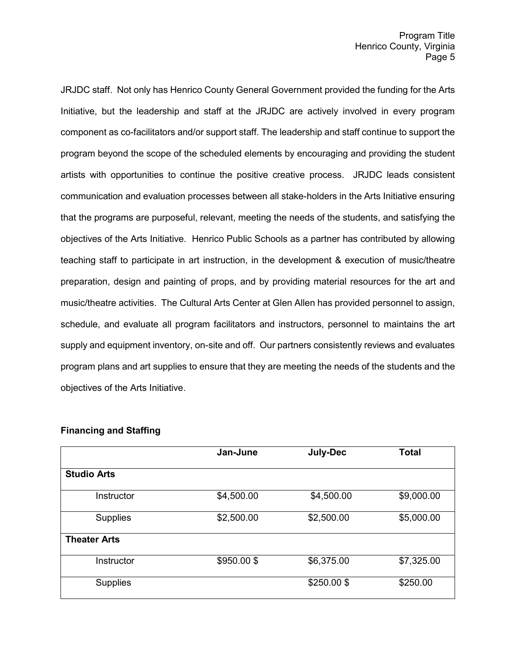JRJDC staff. Not only has Henrico County General Government provided the funding for the Arts Initiative, but the leadership and staff at the JRJDC are actively involved in every program component as co-facilitators and/or support staff. The leadership and staff continue to support the program beyond the scope of the scheduled elements by encouraging and providing the student artists with opportunities to continue the positive creative process. JRJDC leads consistent communication and evaluation processes between all stake-holders in the Arts Initiative ensuring that the programs are purposeful, relevant, meeting the needs of the students, and satisfying the objectives of the Arts Initiative. Henrico Public Schools as a partner has contributed by allowing teaching staff to participate in art instruction, in the development & execution of music/theatre preparation, design and painting of props, and by providing material resources for the art and music/theatre activities. The Cultural Arts Center at Glen Allen has provided personnel to assign, schedule, and evaluate all program facilitators and instructors, personnel to maintains the art supply and equipment inventory, on-site and off. Our partners consistently reviews and evaluates program plans and art supplies to ensure that they are meeting the needs of the students and the objectives of the Arts Initiative.

|                     | Jan-June   | <b>July-Dec</b> | <b>Total</b> |
|---------------------|------------|-----------------|--------------|
| <b>Studio Arts</b>  |            |                 |              |
| Instructor          | \$4,500.00 | \$4,500.00      | \$9,000.00   |
| <b>Supplies</b>     | \$2,500.00 | \$2,500.00      | \$5,000.00   |
| <b>Theater Arts</b> |            |                 |              |
| Instructor          | \$950.00\$ | \$6,375.00      | \$7,325.00   |
| Supplies            |            | \$250.00\$      | \$250.00     |

### **Financing and Staffing**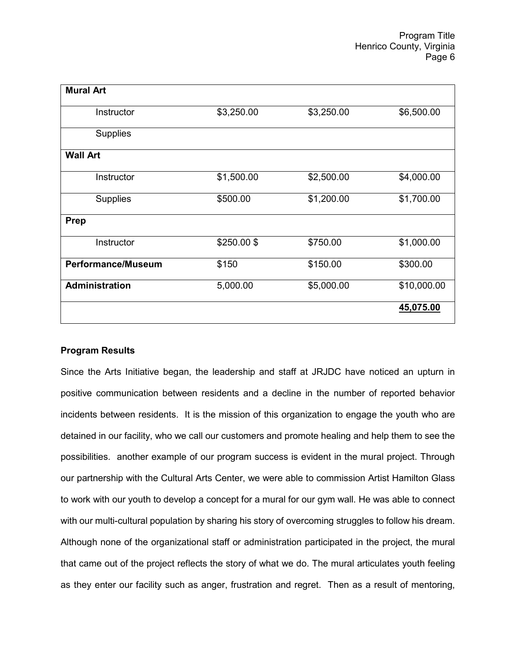| <b>Mural Art</b>          |            |            |             |
|---------------------------|------------|------------|-------------|
| Instructor                | \$3,250.00 | \$3,250.00 | \$6,500.00  |
| <b>Supplies</b>           |            |            |             |
| <b>Wall Art</b>           |            |            |             |
| Instructor                | \$1,500.00 | \$2,500.00 | \$4,000.00  |
| <b>Supplies</b>           | \$500.00   | \$1,200.00 | \$1,700.00  |
| Prep                      |            |            |             |
| Instructor                | \$250.00\$ | \$750.00   | \$1,000.00  |
| <b>Performance/Museum</b> | \$150      | \$150.00   | \$300.00    |
| <b>Administration</b>     | 5,000.00   | \$5,000.00 | \$10,000.00 |
|                           |            |            | 45,075.00   |

#### **Program Results**

Since the Arts Initiative began, the leadership and staff at JRJDC have noticed an upturn in positive communication between residents and a decline in the number of reported behavior incidents between residents. It is the mission of this organization to engage the youth who are detained in our facility, who we call our customers and promote healing and help them to see the possibilities. another example of our program success is evident in the mural project. Through our partnership with the Cultural Arts Center, we were able to commission Artist Hamilton Glass to work with our youth to develop a concept for a mural for our gym wall. He was able to connect with our multi-cultural population by sharing his story of overcoming struggles to follow his dream. Although none of the organizational staff or administration participated in the project, the mural that came out of the project reflects the story of what we do. The mural articulates youth feeling as they enter our facility such as anger, frustration and regret. Then as a result of mentoring,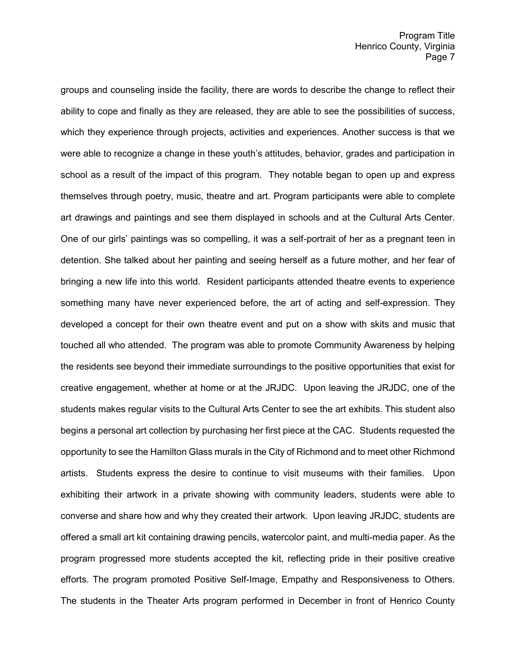groups and counseling inside the facility, there are words to describe the change to reflect their ability to cope and finally as they are released, they are able to see the possibilities of success, which they experience through projects, activities and experiences. Another success is that we were able to recognize a change in these youth's attitudes, behavior, grades and participation in school as a result of the impact of this program. They notable began to open up and express themselves through poetry, music, theatre and art. Program participants were able to complete art drawings and paintings and see them displayed in schools and at the Cultural Arts Center. One of our girls' paintings was so compelling, it was a self-portrait of her as a pregnant teen in detention. She talked about her painting and seeing herself as a future mother, and her fear of bringing a new life into this world. Resident participants attended theatre events to experience something many have never experienced before, the art of acting and self-expression. They developed a concept for their own theatre event and put on a show with skits and music that touched all who attended. The program was able to promote Community Awareness by helping the residents see beyond their immediate surroundings to the positive opportunities that exist for creative engagement, whether at home or at the JRJDC. Upon leaving the JRJDC, one of the students makes regular visits to the Cultural Arts Center to see the art exhibits. This student also begins a personal art collection by purchasing her first piece at the CAC. Students requested the opportunity to see the Hamilton Glass murals in the City of Richmond and to meet other Richmond artists. Students express the desire to continue to visit museums with their families. Upon exhibiting their artwork in a private showing with community leaders, students were able to converse and share how and why they created their artwork. Upon leaving JRJDC, students are offered a small art kit containing drawing pencils, watercolor paint, and multi-media paper. As the program progressed more students accepted the kit, reflecting pride in their positive creative efforts. The program promoted Positive Self-Image, Empathy and Responsiveness to Others. The students in the Theater Arts program performed in December in front of Henrico County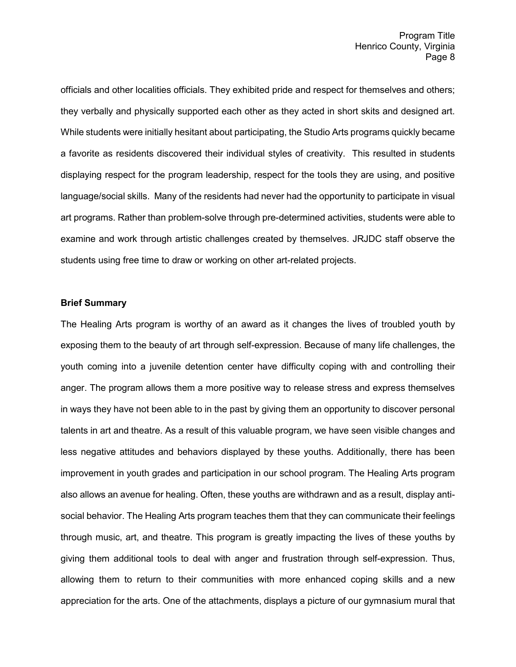officials and other localities officials. They exhibited pride and respect for themselves and others; they verbally and physically supported each other as they acted in short skits and designed art. While students were initially hesitant about participating, the Studio Arts programs quickly became a favorite as residents discovered their individual styles of creativity. This resulted in students displaying respect for the program leadership, respect for the tools they are using, and positive language/social skills. Many of the residents had never had the opportunity to participate in visual art programs. Rather than problem-solve through pre-determined activities, students were able to examine and work through artistic challenges created by themselves. JRJDC staff observe the students using free time to draw or working on other art-related projects.

#### **Brief Summary**

The Healing Arts program is worthy of an award as it changes the lives of troubled youth by exposing them to the beauty of art through self-expression. Because of many life challenges, the youth coming into a juvenile detention center have difficulty coping with and controlling their anger. The program allows them a more positive way to release stress and express themselves in ways they have not been able to in the past by giving them an opportunity to discover personal talents in art and theatre. As a result of this valuable program, we have seen visible changes and less negative attitudes and behaviors displayed by these youths. Additionally, there has been improvement in youth grades and participation in our school program. The Healing Arts program also allows an avenue for healing. Often, these youths are withdrawn and as a result, display antisocial behavior. The Healing Arts program teaches them that they can communicate their feelings through music, art, and theatre. This program is greatly impacting the lives of these youths by giving them additional tools to deal with anger and frustration through self-expression. Thus, allowing them to return to their communities with more enhanced coping skills and a new appreciation for the arts. One of the attachments, displays a picture of our gymnasium mural that